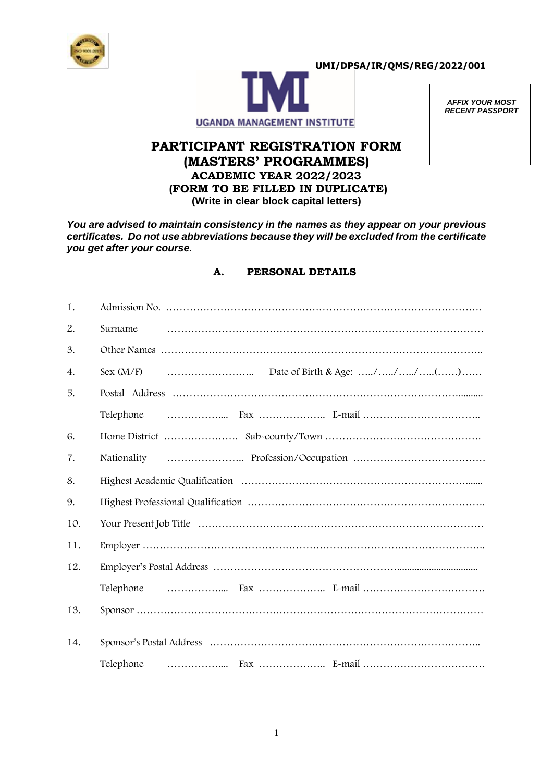



*AFFIX YOUR MOST RECENT PASSPORT* 

## **PARTICIPANT REGISTRATION FORM (MASTERS' PROGRAMMES) ACADEMIC YEAR 2022/2023 (FORM TO BE FILLED IN DUPLICATE) (Write in clear block capital letters)**

*You are advised to maintain consistency in the names as they appear on your previous certificates. Do not use abbreviations because they will be excluded from the certificate you get after your course.*

## **A. PERSONAL DETAILS**

| 1.  |             |  |  |  |  |  |  |  |  |
|-----|-------------|--|--|--|--|--|--|--|--|
| 2.  | Surname     |  |  |  |  |  |  |  |  |
| 3.  |             |  |  |  |  |  |  |  |  |
| 4.  |             |  |  |  |  |  |  |  |  |
| 5.  |             |  |  |  |  |  |  |  |  |
|     | Telephone   |  |  |  |  |  |  |  |  |
| 6.  |             |  |  |  |  |  |  |  |  |
| 7.  | Nationality |  |  |  |  |  |  |  |  |
| 8.  |             |  |  |  |  |  |  |  |  |
| 9.  |             |  |  |  |  |  |  |  |  |
| 10. |             |  |  |  |  |  |  |  |  |
| 11. |             |  |  |  |  |  |  |  |  |
| 12. |             |  |  |  |  |  |  |  |  |
|     | Telephone   |  |  |  |  |  |  |  |  |
| 13. |             |  |  |  |  |  |  |  |  |
| 14. |             |  |  |  |  |  |  |  |  |
|     | Telephone   |  |  |  |  |  |  |  |  |